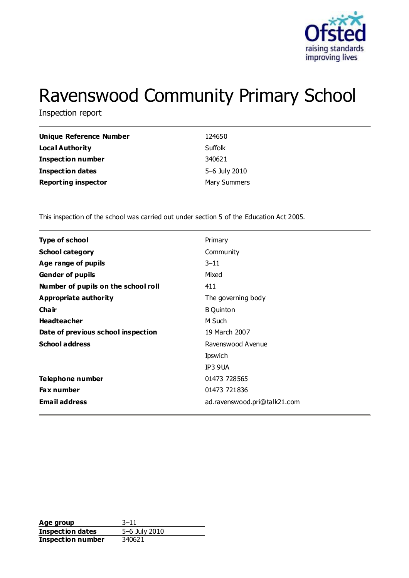

# Ravenswood Community Primary School

Inspection report

| Unique Reference Number    | 124650              |
|----------------------------|---------------------|
| <b>Local Authority</b>     | Suffolk             |
| <b>Inspection number</b>   | 340621              |
| <b>Inspection dates</b>    | 5-6 July 2010       |
| <b>Reporting inspector</b> | <b>Mary Summers</b> |

This inspection of the school was carried out under section 5 of the Education Act 2005.

| <b>Type of school</b>               | Primary                      |
|-------------------------------------|------------------------------|
| <b>School category</b>              | Community                    |
| Age range of pupils                 | $3 - 11$                     |
| <b>Gender of pupils</b>             | Mixed                        |
| Number of pupils on the school roll | 411                          |
| Appropriate authority               | The governing body           |
| Cha ir                              | <b>B</b> Quinton             |
| <b>Headteacher</b>                  | M Such                       |
| Date of previous school inspection  | 19 March 2007                |
| <b>School address</b>               | Ravenswood Avenue            |
|                                     | <b>Ipswich</b>               |
|                                     | IP3 9UA                      |
| Telephone number                    | 01473 728565                 |
| <b>Fax number</b>                   | 01473 721836                 |
| <b>Email address</b>                | ad.ravenswood.pri@talk21.com |
|                                     |                              |

**Age group** 3–11 **Inspection dates** 5–6 July 2010 **Inspection number** 340621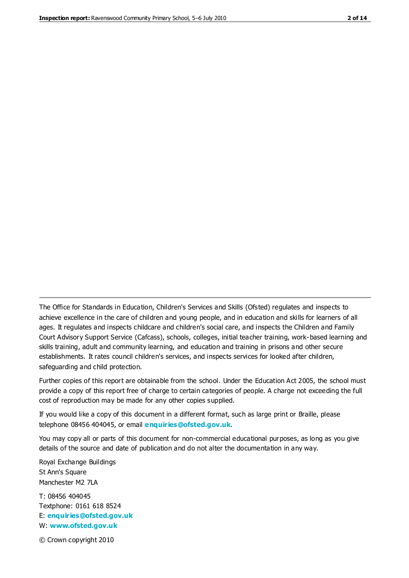The Office for Standards in Education, Children's Services and Skills (Ofsted) regulates and inspects to achieve excellence in the care of children and young people, and in education and skills for learners of all ages. It regulates and inspects childcare and children's social care, and inspects the Children and Family Court Advisory Support Service (Cafcass), schools, colleges, initial teacher training, work-based learning and skills training, adult and community learning, and education and training in prisons and other secure establishments. It rates council children's services, and inspects services for looked after children, safeguarding and child protection.

Further copies of this report are obtainable from the school. Under the Education Act 2005, the school must provide a copy of this report free of charge to certain categories of people. A charge not exceeding the full cost of reproduction may be made for any other copies supplied.

If you would like a copy of this document in a different format, such as large print or Braille, please telephone 08456 404045, or email **[enquiries@ofsted.gov.uk](mailto:enquiries@ofsted.gov.uk)**.

You may copy all or parts of this document for non-commercial educational purposes, as long as you give details of the source and date of publication and do not alter the documentation in any way.

Royal Exchange Buildings St Ann's Square Manchester M2 7LA

T: 08456 404045 Textphone: 0161 618 8524 E: **[enquiries@ofsted.gov.uk](mailto:enquiries@ofsted.gov.uk)** W: **[www.ofsted.gov.uk](http://www.ofsted.gov.uk/)**

© Crown copyright 2010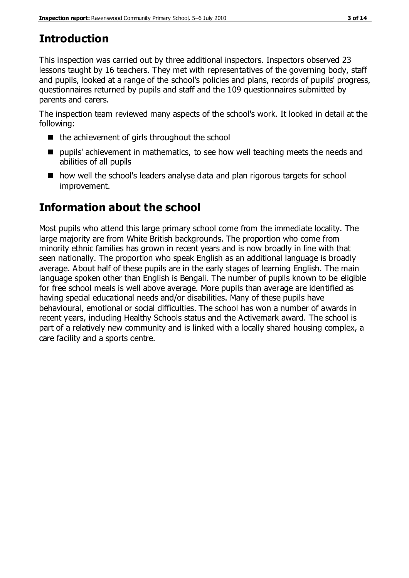# **Introduction**

This inspection was carried out by three additional inspectors. Inspectors observed 23 lessons taught by 16 teachers. They met with representatives of the governing body, staff and pupils, looked at a range of the school's policies and plans, records of pupils' progress, questionnaires returned by pupils and staff and the 109 questionnaires submitted by parents and carers.

The inspection team reviewed many aspects of the school's work. It looked in detail at the following:

- $\blacksquare$  the achievement of girls throughout the school
- $\blacksquare$  pupils' achievement in mathematics, to see how well teaching meets the needs and abilities of all pupils
- how well the school's leaders analyse data and plan rigorous targets for school improvement.

# **Information about the school**

Most pupils who attend this large primary school come from the immediate locality. The large majority are from White British backgrounds. The proportion who come from minority ethnic families has grown in recent years and is now broadly in line with that seen nationally. The proportion who speak English as an additional language is broadly average. About half of these pupils are in the early stages of learning English. The main language spoken other than English is Bengali. The number of pupils known to be eligible for free school meals is well above average. More pupils than average are identified as having special educational needs and/or disabilities. Many of these pupils have behavioural, emotional or social difficulties. The school has won a number of awards in recent years, including Healthy Schools status and the Activemark award. The school is part of a relatively new community and is linked with a locally shared housing complex, a care facility and a sports centre.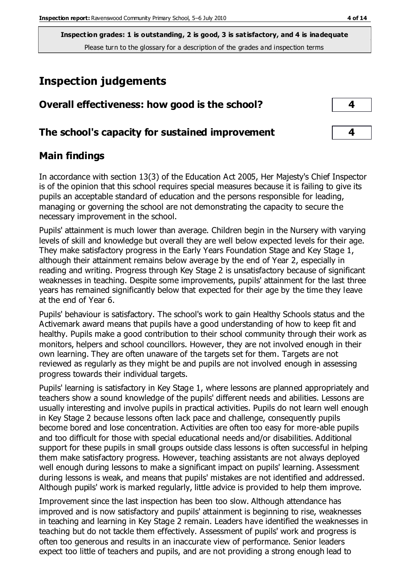# **Inspection judgements**

| Overall effectiveness: how good is the school?  |  |
|-------------------------------------------------|--|
| The school's capacity for sustained improvement |  |

## **Main findings**

In accordance with section 13(3) of the Education Act 2005, Her Majesty's Chief Inspector is of the opinion that this school requires special measures because it is failing to give its pupils an acceptable standard of education and the persons responsible for leading, managing or governing the school are not demonstrating the capacity to secure the necessary improvement in the school.

Pupils' attainment is much lower than average. Children begin in the Nursery with varying levels of skill and knowledge but overall they are well below expected levels for their age. They make satisfactory progress in the Early Years Foundation Stage and Key Stage 1, although their attainment remains below average by the end of Year 2, especially in reading and writing. Progress through Key Stage 2 is unsatisfactory because of significant weaknesses in teaching. Despite some improvements, pupils' attainment for the last three years has remained significantly below that expected for their age by the time they leave at the end of Year 6.

Pupils' behaviour is satisfactory. The school's work to gain Healthy Schools status and the Activemark award means that pupils have a good understanding of how to keep fit and healthy. Pupils make a good contribution to their school community through their work as monitors, helpers and school councillors. However, they are not involved enough in their own learning. They are often unaware of the targets set for them. Targets are not reviewed as regularly as they might be and pupils are not involved enough in assessing progress towards their individual targets.

Pupils' learning is satisfactory in Key Stage 1, where lessons are planned appropriately and teachers show a sound knowledge of the pupils' different needs and abilities. Lessons are usually interesting and involve pupils in practical activities. Pupils do not learn well enough in Key Stage 2 because lessons often lack pace and challenge, consequently pupils become bored and lose concentration. Activities are often too easy for more-able pupils and too difficult for those with special educational needs and/or disabilities. Additional support for these pupils in small groups outside class lessons is often successful in helping them make satisfactory progress. However, teaching assistants are not always deployed well enough during lessons to make a significant impact on pupils' learning. Assessment during lessons is weak, and means that pupils' mistakes are not identified and addressed. Although pupils' work is marked regularly, little advice is provided to help them improve.

Improvement since the last inspection has been too slow. Although attendance has improved and is now satisfactory and pupils' attainment is beginning to rise, weaknesses in teaching and learning in Key Stage 2 remain. Leaders have identified the weaknesses in teaching but do not tackle them effectively. Assessment of pupils' work and progress is often too generous and results in an inaccurate view of performance. Senior leaders expect too little of teachers and pupils, and are not providing a strong enough lead to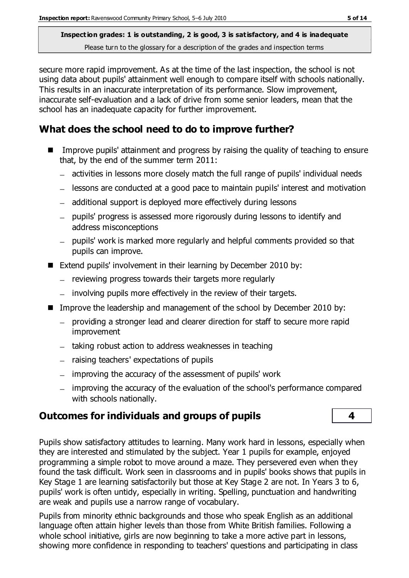secure more rapid improvement. As at the time of the last inspection, the school is not using data about pupils' attainment well enough to compare itself with schools nationally. This results in an inaccurate interpretation of its performance. Slow improvement, inaccurate self-evaluation and a lack of drive from some senior leaders, mean that the school has an inadequate capacity for further improvement.

## **What does the school need to do to improve further?**

- Improve pupils' attainment and progress by raising the quality of teaching to ensure that, by the end of the summer term 2011:
	- activities in lessons more closely match the full range of pupils' individual needs
	- lessons are conducted at a good pace to maintain pupils' interest and motivation
	- additional support is deployed more effectively during lessons
	- pupils' progress is assessed more rigorously during lessons to identify and address misconceptions
	- pupils' work is marked more regularly and helpful comments provided so that pupils can improve.
- Extend pupils' involvement in their learning by December 2010 by:
	- $-$  reviewing progress towards their targets more regularly
	- involving pupils more effectively in the review of their targets.
- Improve the leadership and management of the school by December 2010 by:
	- providing a stronger lead and clearer direction for staff to secure more rapid improvement
	- $-$  taking robust action to address weaknesses in teaching
	- $-$  raising teachers' expectations of pupils
	- improving the accuracy of the assessment of pupils' work
	- improving the accuracy of the evaluation of the school's performance compared with schools nationally.

## **Outcomes for individuals and groups of pupils 4**

Pupils show satisfactory attitudes to learning. Many work hard in lessons, especially when they are interested and stimulated by the subject. Year 1 pupils for example, enjoyed programming a simple robot to move around a maze. They persevered even when they found the task difficult. Work seen in classrooms and in pupils' books shows that pupils in Key Stage 1 are learning satisfactorily but those at Key Stage 2 are not. In Years 3 to 6, pupils' work is often untidy, especially in writing. Spelling, punctuation and handwriting are weak and pupils use a narrow range of vocabulary.

Pupils from minority ethnic backgrounds and those who speak English as an additional language often attain higher levels than those from White British families. Following a whole school initiative, girls are now beginning to take a more active part in lessons, showing more confidence in responding to teachers' questions and participating in class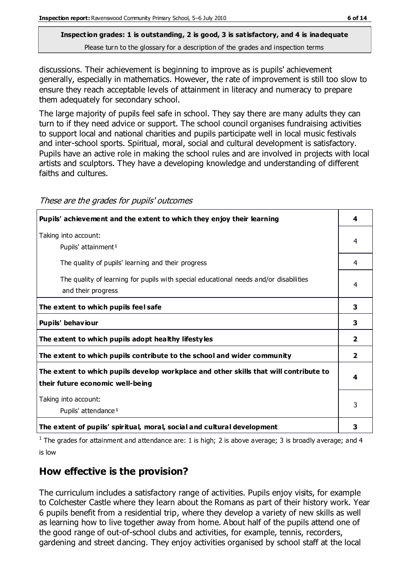discussions. Their achievement is beginning to improve as is pupils' achievement generally, especially in mathematics. However, the rate of improvement is still too slow to ensure they reach acceptable levels of attainment in literacy and numeracy to prepare them adequately for secondary school.

The large majority of pupils feel safe in school. They say there are many adults they can turn to if they need advice or support. The school council organises fundraising activities to support local and national charities and pupils participate well in local music festivals and inter-school sports. Spiritual, moral, social and cultural development is satisfactory. Pupils have an active role in making the school rules and are involved in projects with local artists and sculptors. They have a developing knowledge and understanding of different faiths and cultures.

| Pupils' achievement and the extent to which they enjoy their learning                                                     | 4              |
|---------------------------------------------------------------------------------------------------------------------------|----------------|
| Taking into account:<br>Pupils' attainment <sup>1</sup>                                                                   | 4              |
| The quality of pupils' learning and their progress                                                                        | 4              |
| The quality of learning for pupils with special educational needs and/or disabilities<br>and their progress               | 4              |
| The extent to which pupils feel safe                                                                                      | 3              |
| Pupils' behaviour                                                                                                         | 3              |
| The extent to which pupils adopt healthy lifestyles                                                                       | $\overline{2}$ |
| The extent to which pupils contribute to the school and wider community                                                   | 2              |
| The extent to which pupils develop workplace and other skills that will contribute to<br>their future economic well-being | 4              |
| Taking into account:<br>Pupils' attendance <sup>1</sup>                                                                   | 3              |
| The extent of pupils' spiritual, moral, social and cultural development                                                   | 3              |

These are the grades for pupils' outcomes

<sup>1</sup> The grades for attainment and attendance are: 1 is high; 2 is above average; 3 is broadly average; and 4 is low

## **How effective is the provision?**

The curriculum includes a satisfactory range of activities. Pupils enjoy visits, for example to Colchester Castle where they learn about the Romans as part of their history work. Year 6 pupils benefit from a residential trip, where they develop a variety of new skills as well as learning how to live together away from home. About half of the pupils attend one of the good range of out-of-school clubs and activities, for example, tennis, recorders, gardening and street dancing. They enjoy activities organised by school staff at the local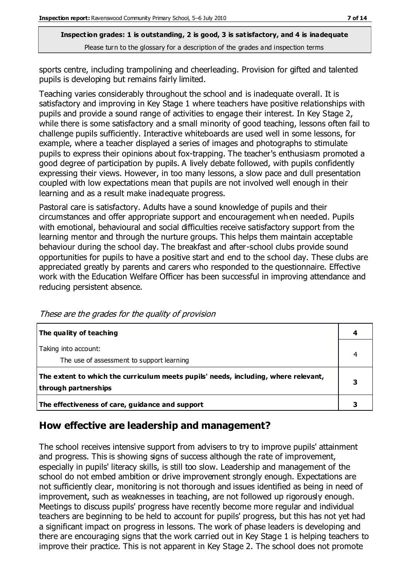sports centre, including trampolining and cheerleading. Provision for gifted and talented pupils is developing but remains fairly limited.

Teaching varies considerably throughout the school and is inadequate overall. It is satisfactory and improving in Key Stage 1 where teachers have positive relationships with pupils and provide a sound range of activities to engage their interest. In Key Stage 2, while there is some satisfactory and a small minority of good teaching, lessons often fail to challenge pupils sufficiently. Interactive whiteboards are used well in some lessons, for example, where a teacher displayed a series of images and photographs to stimulate pupils to express their opinions about fox-trapping. The teacher's enthusiasm promoted a good degree of participation by pupils. A lively debate followed, with pupils confidently expressing their views. However, in too many lessons, a slow pace and dull presentation coupled with low expectations mean that pupils are not involved well enough in their learning and as a result make inadequate progress.

Pastoral care is satisfactory. Adults have a sound knowledge of pupils and their circumstances and offer appropriate support and encouragement when needed. Pupils with emotional, behavioural and social difficulties receive satisfactory support from the learning mentor and through the nurture groups. This helps them maintain acceptable behaviour during the school day. The breakfast and after-school clubs provide sound opportunities for pupils to have a positive start and end to the school day. These clubs are appreciated greatly by parents and carers who responded to the questionnaire. Effective work with the Education Welfare Officer has been successful in improving attendance and reducing persistent absence.

| The quality of teaching                                                                                    |  |
|------------------------------------------------------------------------------------------------------------|--|
| Taking into account:<br>The use of assessment to support learning                                          |  |
| The extent to which the curriculum meets pupils' needs, including, where relevant,<br>through partnerships |  |
| The effectiveness of care, guidance and support                                                            |  |

These are the grades for the quality of provision

## **How effective are leadership and management?**

The school receives intensive support from advisers to try to improve pupils' attainment and progress. This is showing signs of success although the rate of improvement, especially in pupils' literacy skills, is still too slow. Leadership and management of the school do not embed ambition or drive improvement strongly enough. Expectations are not sufficiently clear, monitoring is not thorough and issues identified as being in need of improvement, such as weaknesses in teaching, are not followed up rigorously enough. Meetings to discuss pupils' progress have recently become more regular and individual teachers are beginning to be held to account for pupils' progress, but this has not yet had a significant impact on progress in lessons. The work of phase leaders is developing and there are encouraging signs that the work carried out in Key Stage 1 is helping teachers to improve their practice. This is not apparent in Key Stage 2. The school does not promote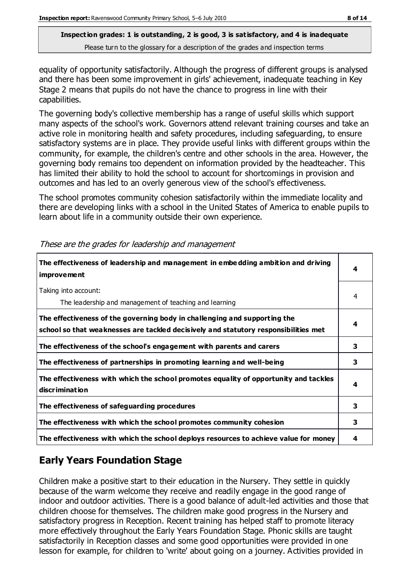equality of opportunity satisfactorily. Although the progress of different groups is analysed and there has been some improvement in girls' achievement, inadequate teaching in Key Stage 2 means that pupils do not have the chance to progress in line with their capabilities.

The governing body's collective membership has a range of useful skills which support many aspects of the school's work. Governors attend relevant training courses and take an active role in monitoring health and safety procedures, including safeguarding, to ensure satisfactory systems are in place. They provide useful links with different groups within the community, for example, the children's centre and other schools in the area. However, the governing body remains too dependent on information provided by the headteacher. This has limited their ability to hold the school to account for shortcomings in provision and outcomes and has led to an overly generous view of the school's effectiveness.

The school promotes community cohesion satisfactorily within the immediate locality and there are developing links with a school in the United States of America to enable pupils to learn about life in a community outside their own experience.

| The effectiveness of leadership and management in embedding ambition and driving<br><i>improvement</i>                                                           | 4 |
|------------------------------------------------------------------------------------------------------------------------------------------------------------------|---|
| Taking into account:<br>The leadership and management of teaching and learning                                                                                   | 4 |
| The effectiveness of the governing body in challenging and supporting the<br>school so that weaknesses are tackled decisively and statutory responsibilities met | 4 |
| The effectiveness of the school's engagement with parents and carers                                                                                             | 3 |
| The effectiveness of partnerships in promoting learning and well-being                                                                                           | 3 |
| The effectiveness with which the school promotes equality of opportunity and tackles<br>discrimination                                                           | 4 |
| The effectiveness of safeguarding procedures                                                                                                                     | 3 |
| The effectiveness with which the school promotes community cohesion                                                                                              | 3 |
| The effectiveness with which the school deploys resources to achieve value for money                                                                             | 4 |

These are the grades for leadership and management

## **Early Years Foundation Stage**

Children make a positive start to their education in the Nursery. They settle in quickly because of the warm welcome they receive and readily engage in the good range of indoor and outdoor activities. There is a good balance of adult-led activities and those that children choose for themselves. The children make good progress in the Nursery and satisfactory progress in Reception. Recent training has helped staff to promote literacy more effectively throughout the Early Years Foundation Stage. Phonic skills are taught satisfactorily in Reception classes and some good opportunities were provided in one lesson for example, for children to 'write' about going on a journey. Activities provided in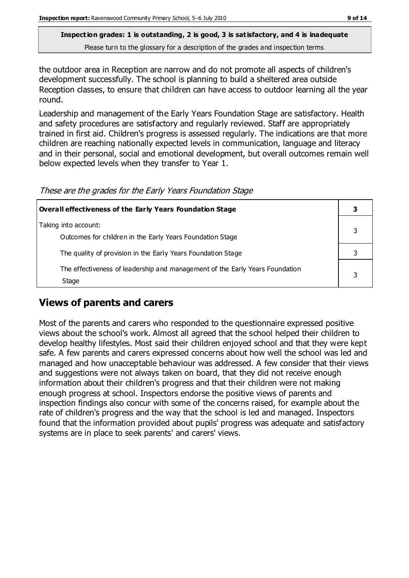the outdoor area in Reception are narrow and do not promote all aspects of children's development successfully. The school is planning to build a sheltered area outside Reception classes, to ensure that children can have access to outdoor learning all the year round.

Leadership and management of the Early Years Foundation Stage are satisfactory. Health and safety procedures are satisfactory and regularly reviewed. Staff are appropriately trained in first aid. Children's progress is assessed regularly. The indications are that more children are reaching nationally expected levels in communication, language and literacy and in their personal, social and emotional development, but overall outcomes remain well below expected levels when they transfer to Year 1.

These are the grades for the Early Years Foundation Stage

| Overall effectiveness of the Early Years Foundation Stage                             |  |
|---------------------------------------------------------------------------------------|--|
| Taking into account:<br>Outcomes for children in the Early Years Foundation Stage     |  |
| The quality of provision in the Early Years Foundation Stage                          |  |
| The effectiveness of leadership and management of the Early Years Foundation<br>Stage |  |

## **Views of parents and carers**

Most of the parents and carers who responded to the questionnaire expressed positive views about the school's work. Almost all agreed that the school helped their children to develop healthy lifestyles. Most said their children enjoyed school and that they were kept safe. A few parents and carers expressed concerns about how well the school was led and managed and how unacceptable behaviour was addressed. A few consider that their views and suggestions were not always taken on board, that they did not receive enough information about their children's progress and that their children were not making enough progress at school. Inspectors endorse the positive views of parents and inspection findings also concur with some of the concerns raised, for example about the rate of children's progress and the way that the school is led and managed. Inspectors found that the information provided about pupils' progress was adequate and satisfactory systems are in place to seek parents' and carers' views.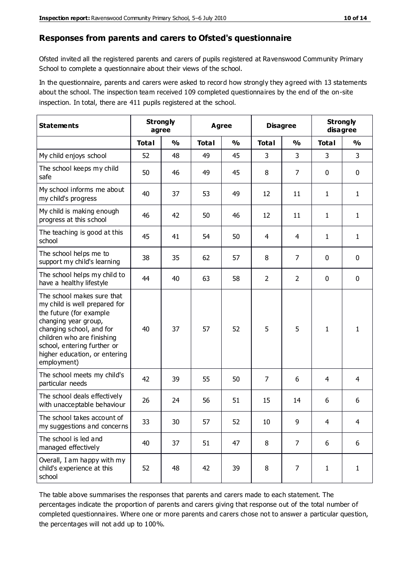#### **Responses from parents and carers to Ofsted's questionnaire**

Ofsted invited all the registered parents and carers of pupils registered at Ravenswood Community Primary School to complete a questionnaire about their views of the school.

In the questionnaire, parents and carers were asked to record how strongly they agreed with 13 statements about the school. The inspection team received 109 completed questionnaires by the end of the on-site inspection. In total, there are 411 pupils registered at the school.

| <b>Statements</b>                                                                                                                                                                                                                                       |              | <b>Strongly</b><br>Agree<br>agree |              |               | <b>Disagree</b> |                | <b>Strongly</b><br>disagree |                |
|---------------------------------------------------------------------------------------------------------------------------------------------------------------------------------------------------------------------------------------------------------|--------------|-----------------------------------|--------------|---------------|-----------------|----------------|-----------------------------|----------------|
|                                                                                                                                                                                                                                                         | <b>Total</b> | $\frac{0}{0}$                     | <b>Total</b> | $\frac{0}{0}$ | <b>Total</b>    | $\frac{0}{0}$  | <b>Total</b>                | $\frac{0}{0}$  |
| My child enjoys school                                                                                                                                                                                                                                  | 52           | 48                                | 49           | 45            | 3               | 3              | 3                           | $\overline{3}$ |
| The school keeps my child<br>safe                                                                                                                                                                                                                       | 50           | 46                                | 49           | 45            | 8               | $\overline{7}$ | 0                           | $\pmb{0}$      |
| My school informs me about<br>my child's progress                                                                                                                                                                                                       | 40           | 37                                | 53           | 49            | 12              | 11             | $\mathbf{1}$                | $\mathbf{1}$   |
| My child is making enough<br>progress at this school                                                                                                                                                                                                    | 46           | 42                                | 50           | 46            | 12              | 11             | 1                           | $\mathbf{1}$   |
| The teaching is good at this<br>school                                                                                                                                                                                                                  | 45           | 41                                | 54           | 50            | 4               | 4              | $\mathbf{1}$                | $\mathbf{1}$   |
| The school helps me to<br>support my child's learning                                                                                                                                                                                                   | 38           | 35                                | 62           | 57            | 8               | 7              | 0                           | $\mathbf 0$    |
| The school helps my child to<br>have a healthy lifestyle                                                                                                                                                                                                | 44           | 40                                | 63           | 58            | $\overline{2}$  | $\overline{2}$ | 0                           | $\pmb{0}$      |
| The school makes sure that<br>my child is well prepared for<br>the future (for example<br>changing year group,<br>changing school, and for<br>children who are finishing<br>school, entering further or<br>higher education, or entering<br>employment) | 40           | 37                                | 57           | 52            | 5               | 5              | $\mathbf{1}$                | $\mathbf{1}$   |
| The school meets my child's<br>particular needs                                                                                                                                                                                                         | 42           | 39                                | 55           | 50            | $\overline{7}$  | 6              | 4                           | $\overline{4}$ |
| The school deals effectively<br>with unacceptable behaviour                                                                                                                                                                                             | 26           | 24                                | 56           | 51            | 15              | 14             | 6                           | 6              |
| The school takes account of<br>my suggestions and concerns                                                                                                                                                                                              | 33           | 30                                | 57           | 52            | $10\,$          | 9              | 4                           |                |
| The school is led and<br>managed effectively                                                                                                                                                                                                            | 40           | 37                                | 51           | 47            | 8               | 7              | 6                           | 6              |
| Overall, I am happy with my<br>child's experience at this<br>school                                                                                                                                                                                     | 52           | 48                                | 42           | 39            | 8               | 7              | $\mathbf{1}$                | $\mathbf{1}$   |

The table above summarises the responses that parents and carers made to each statement. The percentages indicate the proportion of parents and carers giving that response out of the total number of completed questionnaires. Where one or more parents and carers chose not to answer a particular question, the percentages will not add up to 100%.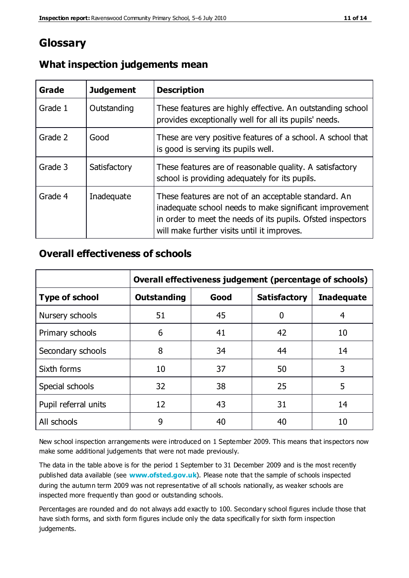# **Glossary**

| Grade   | <b>Judgement</b> | <b>Description</b>                                                                                                                                                                                                            |
|---------|------------------|-------------------------------------------------------------------------------------------------------------------------------------------------------------------------------------------------------------------------------|
| Grade 1 | Outstanding      | These features are highly effective. An outstanding school<br>provides exceptionally well for all its pupils' needs.                                                                                                          |
| Grade 2 | Good             | These are very positive features of a school. A school that<br>is good is serving its pupils well.                                                                                                                            |
| Grade 3 | Satisfactory     | These features are of reasonable quality. A satisfactory<br>school is providing adequately for its pupils.                                                                                                                    |
| Grade 4 | Inadequate       | These features are not of an acceptable standard. An<br>inadequate school needs to make significant improvement<br>in order to meet the needs of its pupils. Ofsted inspectors<br>will make further visits until it improves. |

## **What inspection judgements mean**

## **Overall effectiveness of schools**

|                       | Overall effectiveness judgement (percentage of schools) |      |                     |                   |
|-----------------------|---------------------------------------------------------|------|---------------------|-------------------|
| <b>Type of school</b> | <b>Outstanding</b>                                      | Good | <b>Satisfactory</b> | <b>Inadequate</b> |
| Nursery schools       | 51                                                      | 45   | 0                   |                   |
| Primary schools       | 6                                                       | 41   | 42                  | 10                |
| Secondary schools     | 8                                                       | 34   | 44                  | 14                |
| Sixth forms           | 10                                                      | 37   | 50                  | 3                 |
| Special schools       | 32                                                      | 38   | 25                  | 5                 |
| Pupil referral units  | 12                                                      | 43   | 31                  | 14                |
| All schools           | 9                                                       | 40   | 40                  | 10                |

New school inspection arrangements were introduced on 1 September 2009. This means that inspectors now make some additional judgements that were not made previously.

The data in the table above is for the period 1 September to 31 December 2009 and is the most recently published data available (see **[www.ofsted.gov.uk](http://www.ofsted.gov.uk/)**). Please note that the sample of schools inspected during the autumn term 2009 was not representative of all schools nationally, as weaker schools are inspected more frequently than good or outstanding schools.

Percentages are rounded and do not always add exactly to 100. Secondary school figures include those that have sixth forms, and sixth form figures include only the data specifically for sixth form inspection judgements.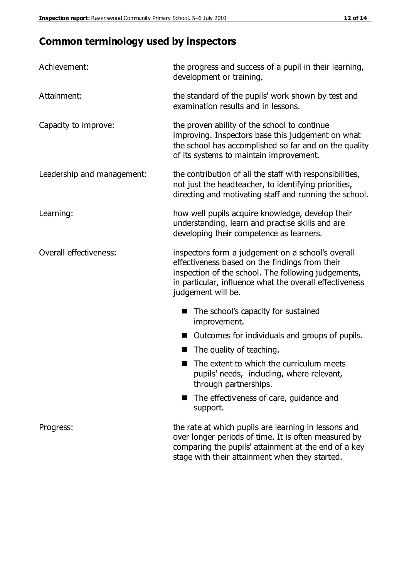# **Common terminology used by inspectors**

| Achievement:               | the progress and success of a pupil in their learning,<br>development or training.                                                                                                                                                          |
|----------------------------|---------------------------------------------------------------------------------------------------------------------------------------------------------------------------------------------------------------------------------------------|
| Attainment:                | the standard of the pupils' work shown by test and<br>examination results and in lessons.                                                                                                                                                   |
| Capacity to improve:       | the proven ability of the school to continue<br>improving. Inspectors base this judgement on what<br>the school has accomplished so far and on the quality<br>of its systems to maintain improvement.                                       |
| Leadership and management: | the contribution of all the staff with responsibilities,<br>not just the headteacher, to identifying priorities,<br>directing and motivating staff and running the school.                                                                  |
| Learning:                  | how well pupils acquire knowledge, develop their<br>understanding, learn and practise skills and are<br>developing their competence as learners.                                                                                            |
| Overall effectiveness:     | inspectors form a judgement on a school's overall<br>effectiveness based on the findings from their<br>inspection of the school. The following judgements,<br>in particular, influence what the overall effectiveness<br>judgement will be. |
|                            | The school's capacity for sustained<br>improvement.                                                                                                                                                                                         |
|                            | Outcomes for individuals and groups of pupils.                                                                                                                                                                                              |
|                            | The quality of teaching.                                                                                                                                                                                                                    |
|                            | The extent to which the curriculum meets<br>pupils' needs, including, where relevant,<br>through partnerships.                                                                                                                              |
|                            | The effectiveness of care, guidance and<br>support.                                                                                                                                                                                         |
| Progress:                  | the rate at which pupils are learning in lessons and<br>over longer periods of time. It is often measured by<br>comparing the pupils' attainment at the end of a key                                                                        |

stage with their attainment when they started.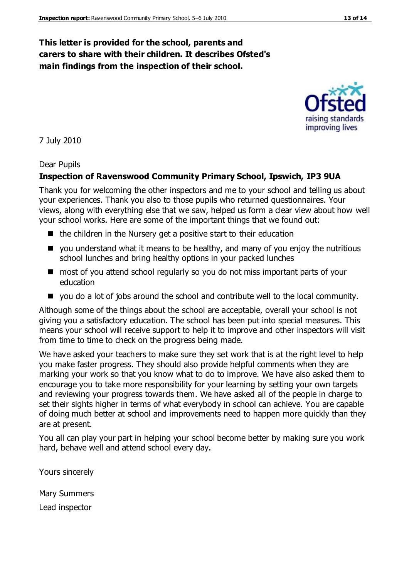## **This letter is provided for the school, parents and carers to share with their children. It describes Ofsted's main findings from the inspection of their school.**

#### 7 July 2010

#### Dear Pupils

#### **Inspection of Ravenswood Community Primary School, Ipswich, IP3 9UA**

Thank you for welcoming the other inspectors and me to your school and telling us about your experiences. Thank you also to those pupils who returned questionnaires. Your views, along with everything else that we saw, helped us form a clear view about how well your school works. Here are some of the important things that we found out:

- $\blacksquare$  the children in the Nursery get a positive start to their education
- vou understand what it means to be healthy, and many of you enjoy the nutritious school lunches and bring healthy options in your packed lunches
- most of you attend school regularly so you do not miss important parts of your education
- you do a lot of jobs around the school and contribute well to the local community.

Although some of the things about the school are acceptable, overall your school is not giving you a satisfactory education. The school has been put into special measures. This means your school will receive support to help it to improve and other inspectors will visit from time to time to check on the progress being made.

We have asked your teachers to make sure they set work that is at the right level to help you make faster progress. They should also provide helpful comments when they are marking your work so that you know what to do to improve. We have also asked them to encourage you to take more responsibility for your learning by setting your own targets and reviewing your progress towards them. We have asked all of the people in charge to set their sights higher in terms of what everybody in school can achieve. You are capable of doing much better at school and improvements need to happen more quickly than they are at present.

You all can play your part in helping your school become better by making sure you work hard, behave well and attend school every day.

Yours sincerely

Mary Summers Lead inspector